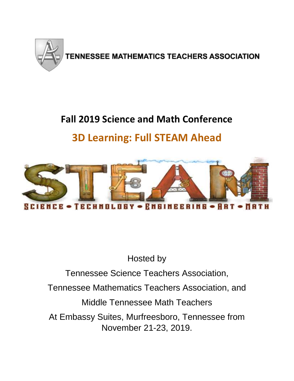

# **Fall 2019 Science and Math Conference**

## **3D Learning: Full STEAM Ahead**



Hosted by

Tennessee Science Teachers Association,

Tennessee Mathematics Teachers Association, and

Middle Tennessee Math Teachers

At Embassy Suites, Murfreesboro, Tennessee from November 21-23, 2019.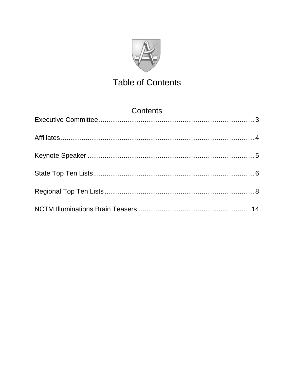

## **Table of Contents**

| Contents |  |
|----------|--|
|          |  |
|          |  |
|          |  |
|          |  |
|          |  |
|          |  |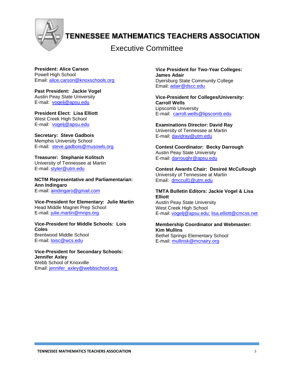

## **TENNESSEE MATHEMATICS TEACHERS ASSOCIATION**

### Executive Committee

**President: Alice Carson** Powell High School Email: [alice.carson@knoxschools.org](mailto:alice.carson@knoxschools.org)

**Past President: Jackie Vogel** Austin Peay State University E-mail: [vogelj@apsu.edu](mailto:vogelj@apsu.edu)

**President Elect: Lisa Elliott** West Creek High School E-mail: [vogelj@apsu.edu](mailto:vogelj@apsu.edu)

**Secretary: Steve Gadbois** Memphis University School E-mail: [steve.gadbois@musowls.org](mailto:steve.gadbois@musowls.org)

**Treasurer: Stephanie Kolitsch** University of Tennessee at Martin E-mail: [styler@utm.edu](mailto:styler@utm.edu)

**NCTM Representative and Parliamentarian: Ann Indingaro** E-mail: [aindingaro@gmail.com](mailto:aindingaro@gmail.com)

**Vice-President for Elementary: Julie Martin** Head Middle Magnet Prep School E-mail: [julie.martin@mnps.org](mailto:julie.martin@mnps.org)

**Vice-President for Middle Schools: Lois Coles** Brentwood Middle School E-mail: [loisc@wcs.edu](mailto:loisc@wcs.edu)

**Vice-President for Secondary Schools: Jennifer Axley** Webb School of Knoxville Email: [jennifer\\_axley@webbschool.org](mailto:jennifer_axley@webbschool.org)

**Vice President for Two-Year Colleges: James Adair** Dyersburg State Community College Email: adair@dscc.edu

**Vice-President for Colleges/University: Carroll Wells** Lipscomb University E-mail: [carroll.wells@lipscomb.edu](mailto:carroll.wells@lipscomb.edu)

**Examinations Director: David Ray** University of Tennessee at Martin E-mail: [davidray@utm.edu](mailto:davidray@utm.edu)

**Contest Coordinator: Becky Darrough** Austin Peay State University E-mail: [darroughr@apsu.edu](mailto:darroughr@apsu.edu)

**Contest Awards Chair: Desireé McCullough** University of Tennessee at Martin Email: [dmccull1@utm.edu](mailto:dmccull1@utm.edu)

#### **TMTA Bulletin Editors: Jackie Vogel & Lisa Elliott**

Austin Peay State University West Creek High School E-mail: [vogelj@apsu.edu;](mailto:vogelj@apsu.edu) lisa.elliott@cmcss.net

**Membership Coordinator and Webmaster: Kim Mullins** Bethel Springs Elementary School E-mail: mullinsk@mcnairy.org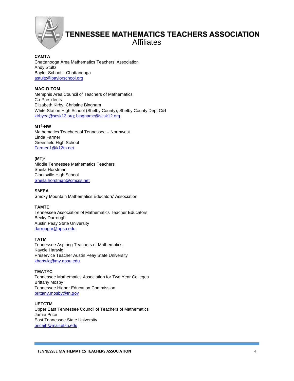

### **TENNESSEE MATHEMATICS TEACHERS ASSOCIATION** Affiliates

**CAMTA** Chattanooga Area Mathematics Teachers' Association Andy Stultz Baylor School – Chattanooga [astultz@baylorschool.org](mailto:astultz@baylorschool.org)

#### **MAC-O-TOM**

Memphis Area Council of Teachers of Mathematics Co-Presidents Elizabeth Kirby; Christine Bingham White Station High School (Shelby County); Shelby County Dept C&I [kirbyea@scsk12.org; binghamc@scsk12.org](mailto:kirbyea@scsk12.org;%20binghamc@scsk12.org) 

#### **MT<sup>2</sup> -NW**

Mathematics Teachers of Tennessee – Northwest Linda Farmer Greenfield High School Farmerl1@k12tn.net

#### **(MT)<sup>2</sup>**

Middle Tennessee Mathematics Teachers Sheila Horstman Clarksville High School [Sheila.horstman@cmcss.net](mailto:Sheila.horstman@cmcss.net)

#### **SM<sup>2</sup>EA**

Smoky Mountain Mathematics Educators' Association

#### **TAMTE**

Tennessee Association of Mathematics Teacher Educators Becky Darrough Austin Peay State University [darroughr@apsu.edu](mailto:darroughr@apsu.edu)

#### **TATM**

Tennessee Aspiring Teachers of Mathematics Kaycie Hartwig Preservice Teacher Austin Peay State University [khartwig@my.apsu.edu](mailto:khartwig@my.apsu.edu)

#### **TMATYC**

Tennessee Mathematics Association for Two Year Colleges Brittany Mosby Tennessee Higher Education Commission [brittany.mosby@tn.gov](mailto:brittany.mosby@tn.gov)

#### **UETCTM**

Upper East Tennessee Council of Teachers of Mathematics Jamie Price East Tennessee State University [pricejh@mail.etsu.edu](mailto:pricejh@mail.etsu.edu)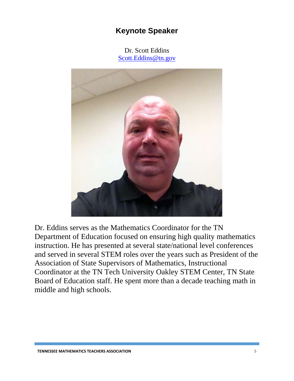### **Keynote Speaker**

Dr. Scott Eddins [Scott.Eddins@tn.gov](mailto:Scott.Eddins@tn.gov)

<span id="page-5-0"></span>

Dr. Eddins serves as the Mathematics Coordinator for the TN Department of Education focused on ensuring high quality mathematics instruction. He has presented at several state/national level conferences and served in several STEM roles over the years such as President of the Association of State Supervisors of Mathematics, Instructional Coordinator at the TN Tech University Oakley STEM Center, TN State Board of Education staff. He spent more than a decade teaching math in middle and high schools.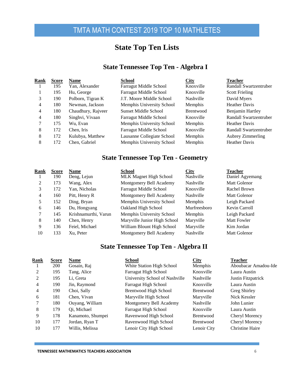### **State Top Ten Lists**

#### **State Tennessee Top Ten - Algebra I**

<span id="page-6-0"></span>

| Rank | <b>Score</b> | <b>Name</b>        | <b>School</b>              | <b>City</b>      | <b>Teacher</b>           |
|------|--------------|--------------------|----------------------------|------------------|--------------------------|
|      | 195          | Yan, Alexander     | Farragut Middle School     | Knoxville        | Randall Swartzentruber   |
|      | 195          | Hu, George         | Farragut Middle School     | Knoxville        | <b>Scott Frieling</b>    |
| 3    | 190          | Polborn, Tigran K  | J.T. Moore Middle School   | Nashville        | David Myers              |
| 4    | 180          | Newman, Jackson    | Memphis University School  | Memphis          | <b>Heather Davis</b>     |
| 4    | 180          | Chaudhury, Rajveer | Sunset Middle School       | <b>Brentwood</b> | Benjamin Hartley         |
| 4    | 180          | Singhvi, Vivaan    | Farragut Middle School     | Knoxville        | Randall Swartzentruber   |
|      | 175          | Wu, Evan           | Memphis University School  | Memphis          | <b>Heather Davis</b>     |
| 8    | 172          | Chen. Iris         | Farragut Middle School     | Knoxville        | Randall Swartzentruber   |
| 8    | 172          | Kulubya, Matthew   | Lausanne Collegiate School | Memphis          | <b>Aubrey Zimmerling</b> |
| 8    | 172          | Chen, Gabriel      | Memphis University School  | Memphis          | <b>Heather Davis</b>     |
|      |              |                    |                            |                  |                          |

### **State Tennessee Top Ten - Geometry**

| Rank | <b>Score</b> | <b>Name</b>          | <b>School</b>                 | <b>City</b>      | <b>Teacher</b>     |
|------|--------------|----------------------|-------------------------------|------------------|--------------------|
|      | 190          | Deng, Lejun          | <b>MLK Magnet High School</b> | <b>Nashville</b> | Daniel Agyemang    |
| 2    | 173          | Wang, Alex           | Montgomery Bell Academy       | <b>Nashville</b> | Matt Golenor       |
| 3    | 172          | Yan, Nicholas        | Farragut Middle School        | Knoxville        | Rachel Brown       |
| 4    | 160          | Pitt, Henry R        | Montgomery Bell Academy       | <b>Nashville</b> | Matt Golenor       |
| 5    | 152          | Ding, Bryan          | Memphis University School     | Memphis          | Leigh Packard      |
| 6    | 146          | Du, Hongyang         | Oakland High School           | Murfreesboro     | Kevin Carroll      |
| 7    | 145          | Krishnamurthi, Varun | Memphis University School     | Memphis          | Leigh Packard      |
| 8    | 140          | Chen, Henry          | Maryville Junior High School  | Maryville        | <b>Matt Fowler</b> |
| 9    | 136          | Feiel, Michael       | William Blount High School    | Maryville        | Kim Jordan         |
| 10   | 133          | Xu, Peter            | Montgomery Bell Academy       | Nashville        | Matt Golenor       |
|      |              |                      |                               |                  |                    |

### **State Tennessee Top Ten - Algebra II**

| <b>Rank</b> | <b>Score</b> | <b>Name</b>       | <b>School</b>                  | <b>City</b>      | <b>Teacher</b>       |
|-------------|--------------|-------------------|--------------------------------|------------------|----------------------|
|             | 200          | Gosain, Raj       | White Station High School      | Memphis          | Aboubacar Amadou-Ide |
| 2           | 195          | Tang, Alice       | <b>Farragut High School</b>    | Knoxville        | Laura Austin         |
| 2           | 195          | Li. Greta         | University School of Nashville | Nashville        | Justin Fitzpatrick   |
| 4           | 190          | Jin, Raymond      | Farragut High School           | Knoxville        | Laura Austin         |
| 4           | 190          | Choi, Sally       | <b>Brentwood High School</b>   | <b>Brentwood</b> | Greg Shirley         |
| 6           | 181          | Chen, Vivan       | Maryville High School          | Maryville        | Nick Kessler         |
|             | 180          | Ouyang, William   | Montgomery Bell Academy        | <b>Nashville</b> | John Lunier          |
| 8           | 179          | Qi, Michael       | <b>Farragut High School</b>    | Knoxville        | Laura Austin         |
| 9           | 178          | Kanamoto, Shumpei | Ravenwood High School          | <b>Brentwood</b> | Cheryl Morency       |
| 10          | 177          | Jordan, Ryan T    | Ravenwood High School          | <b>Brentwood</b> | Cheryl Morency       |
| 10          | 177          | Willis, Melissa   | Lenoir City High School        | Lenoir City      | Christine Haire      |
|             |              |                   |                                |                  |                      |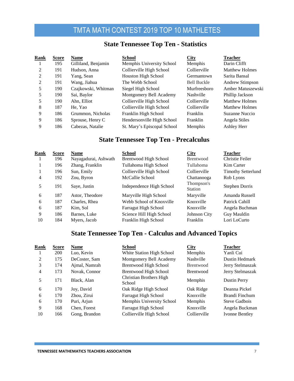#### **State Tennessee Top Ten - Statistics**

| Rank | <b>Score</b> | <b>Name</b>         | <b>School</b>               | City               | <b>Teacher</b>        |
|------|--------------|---------------------|-----------------------------|--------------------|-----------------------|
|      | 195          | Gilliland, Benjamin | Memphis University School   | <b>Memphis</b>     | Darin Clifft          |
| 2    | 191          | Hudson, Anna        | Collierville High School    | Collierville       | <b>Matthew Holmes</b> |
| 2    | 191          | Yang, Sean          | <b>Houston High School</b>  | Germantown         | Sarita Bansal         |
| 2    | 191          | Wang, Jiahua        | The Webb School             | <b>Bell Buckle</b> | Andrew Stimpson       |
| 5    | 190          | Czajkowski, Whitman | Siegel High School          | Murfreesboro       | Amber Matuszewski     |
| 5    | 190          | Sai, Baylor         | Montgomery Bell Academy     | Nashville          | Phillip Jackson       |
| 5    | 190          | Ahn, Elliot         | Collierville High School    | Collierville       | <b>Matthew Holmes</b> |
| 8    | 187          | He. Yao             | Collierville High School    | Collierville       | <b>Matthew Holmes</b> |
| 9    | 186          | Grummon, Nicholas   | Franklin High School        | Franklin           | Suzanne Nuccio        |
| 9    | 186          | Sprouse, Henry C    | Hendersonville High School  | Franklin           | Angela Stiles         |
| 9    | 186          | Cabezas, Natalie    | St. Mary's Episcopal School | <b>Memphis</b>     | Ashley Herr           |

#### **State Tennessee Top Ten - Precalculus**

| Rank | <b>Score</b> | <b>Name</b>          | <b>School</b>               | City                         | <b>Teacher</b>            |
|------|--------------|----------------------|-----------------------------|------------------------------|---------------------------|
|      | 196          | Nayagadurai, Ashwath | Brentwood High School       | <b>Brentwood</b>             | Christie Feiler           |
|      | 196          | Zhang, Franklin      | Tullahoma High School       | Tullahoma                    | Kim Carter                |
|      | 196          | Sun, Emily           | Collierville High School    | Collierville                 | <b>Timothy Setterlund</b> |
| 4    | 192          | Zou, Byron           | McCallie School             | Chattanooga                  | Rob Lyons                 |
| 5    | 191          | Saye, Justin         | Independence High School    | Thompson's<br><b>Station</b> | Stephen Dorris            |
| 6    | 187          | Astor. Theodore      | Maryville High School       | Maryville                    | Amanda Russell            |
| 6    | 187          | Charles, Rhea        | Webb School of Knoxville    | Knoxville                    | Patrick Cahill            |
| 6    | 187          | Kim, Sol             | <b>Farragut High School</b> | Knoxville                    | Angela Buchman            |
| 9    | 186          | Barnes, Luke         | Science Hill High School    | Johnson City                 | Guy Mauldin               |
| 10   | 184          | Myers, Jacob         | Franklin High School        | Franklin                     | Lori LoCurto              |

#### **State Tennessee Top Ten - Calculus and Advanced Topics**

| Rank | <b>Score</b> | <b>Name</b>   | <b>School</b>                     | City             | <b>Teacher</b>      |
|------|--------------|---------------|-----------------------------------|------------------|---------------------|
|      | 200          | Luo, Kevin    | White Station High School         | Memphis          | Yanli Cui           |
| 2    | 175          | DeCoster, Sam | Montgomery Bell Academy           | Nashville        | Dustin Hedmark      |
| 3    | 174          | Ajmal, Namrah | <b>Brentwood High School</b>      | <b>Brentwood</b> | Jerry Stelmaszak    |
| 4    | 173          | Novak, Connor | <b>Brentwood High School</b>      | <b>Brentwood</b> | Jerry Stelmaszak    |
| 5    | 171          | Black, Alan   | Christian Brothers High<br>School | Memphis          | <b>Dustin Perry</b> |
| 6    | 170          | Joy, David    | Oak Ridge High School             | Oak Ridge        | Deanna Pickel       |
| 6    | 170          | Zhou, Zirui   | <b>Farragut High School</b>       | Knoxville        | Brandi Finchum      |
| 6    | 170          | Puri, Arjun   | Memphis University School         | Memphis          | Steve Gadbois       |
| 9    | 168          | Chen, Forest  | <b>Farragut High School</b>       | Knoxville        | Angela Buckman      |
| 10   | 166          | Gong, Brandon | Collierville High School          | Collierville     | Ivonne Bentley      |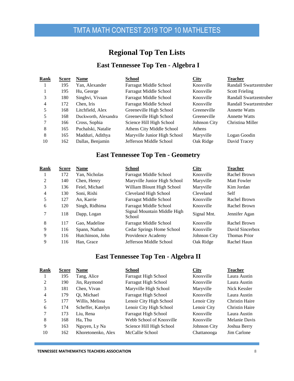## **Regional Top Ten Lists**

### **East Tennessee Top Ten - Algebra I**

<span id="page-8-0"></span>

| Rank | <b>Score</b> | <b>Name</b>          | <b>School</b>                 | City                | <b>Teacher</b>         |
|------|--------------|----------------------|-------------------------------|---------------------|------------------------|
|      | 195          | Yan, Alexander       | Farragut Middle School        | Knoxville           | Randall Swartzentruber |
|      | 195          | Hu, George           | Farragut Middle School        | Knoxville           | <b>Scott Frieling</b>  |
| 3    | 180          | Singhvi, Vivaan      | Farragut Middle School        | Knoxville           | Randall Swartzentruber |
| 4    | 172          | Chen, Iris           | <b>Farragut Middle School</b> | Knoxville           | Randall Swartzentruber |
| 5    | 168          | Litchfield, Alex     | Greeneville High School       | Greeneville         | <b>Annette Watts</b>   |
| 5    | 168          | Duckworth, Alexandra | Greeneville High School       | Greeneville         | <b>Annette Watts</b>   |
| 7    | 166          | Cross, Sophia        | Science Hill High School      | <b>Johnson City</b> | Christina Miller       |
| 8    | 165          | Puchalski, Natalie   | Athens City Middle School     | <b>Athens</b>       |                        |
| 8    | 165          | Madduri, Adithya     | Maryville Junior High School  | Maryville           | Logan Goodin           |
| 10   | 162          | Dallas, Benjamin     | Jefferson Middle School       | Oak Ridge           | David Tracey           |
|      |              |                      |                               |                     |                        |

### **East Tennessee Top Ten - Geometry**

| Rank           | <b>Score</b> | <b>Name</b>      | <b>School</b>                         | <b>City</b>  | <b>Teacher</b>      |
|----------------|--------------|------------------|---------------------------------------|--------------|---------------------|
|                | 172          | Yan, Nicholas    | <b>Farragut Middle School</b>         | Knoxville    | Rachel Brown        |
| 2              | 140          | Chen, Henry      | Maryville Junior High School          | Maryville    | <b>Matt Fowler</b>  |
| 3              | 136          | Feiel, Michael   | William Blount High School            | Maryville    | Kim Jordan          |
| $\overline{4}$ | 130          | Soni, Rishi      | Cleveland High School                 | Cleveland    | Self                |
| 5              | 127          | An. Karrie       | Farragut Middle School                | Knoxville    | Rachel Brown        |
| 6              | 120          | Singh, Ridhima   | Farragut Middle School                | Knoxville    | Rachel Brown        |
| 7              | 118          | Dapp, Logan      | Signal Mountain Middle High<br>School | Signal Mnt.  | Jennifer Agan       |
| 8              | 117          | Gao. Madeline    | Farragut Middle School                | Knoxville    | Rachel Brown        |
| 9              | 116          | Spann, Nathan    | Cedar Springs Home School             | Knoxville    | David Sincerbox     |
| 9              | 116          | Hutchinson, John | Providence Academy                    | Johnson City | <b>Thomas Prior</b> |
| 9              | 116          | Han. Grace       | Jefferson Middle School               | Oak Ridge    | Rachel Haun         |
|                |              |                  |                                       |              |                     |

#### **East Tennessee Top Ten - Algebra II**

| Rank | Score | <b>Name</b>        | <b>School</b>               | City         | <b>Teacher</b>        |
|------|-------|--------------------|-----------------------------|--------------|-----------------------|
|      | 195   | Tang, Alice        | <b>Farragut High School</b> | Knoxville    | Laura Austin          |
| 2    | 190   | Jin, Raymond       | <b>Farragut High School</b> | Knoxville    | Laura Austin          |
| 3    | 181   | Chen, Vivan        | Maryville High School       | Maryville    | Nick Kessler          |
| 4    | 179   | Oi, Michael        | <b>Farragut High School</b> | Knoxville    | Laura Austin          |
| 5    | 177   | Willis, Melissa    | Lenoir City High School     | Lenoir City  | <b>Christin Haire</b> |
| 6    | 174   | Scheffer, Katelyn  | Lenoir City High School     | Lenoir City  | <b>Christin Haire</b> |
| 7    | 173   | Liu, Rena          | <b>Farragut High School</b> | Knoxville    | Laura Austin          |
| 8    | 168   | Ha, Thu            | Webb School of Knoxville    | Knoxville    | Melanie Davis         |
| 9    | 163   | Nguyen, Ly Na      | Science Hill High School    | Johnson City | Joshua Berry          |
| 10   | 162   | Khoretonenko, Alex | McCallie School             | Chattanooga  | Jim Carlone           |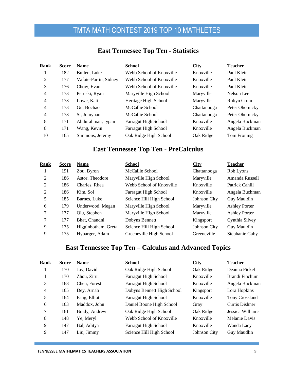| Rank           | <b>Score</b> | <b>Name</b>           | <b>School</b>               | <b>City</b> | <b>Teacher</b>  |
|----------------|--------------|-----------------------|-----------------------------|-------------|-----------------|
|                | 182          | Bullen, Luke          | Webb School of Knoxville    | Knoxville   | Paul Klein      |
| 2              | 177          | Vafaie-Partin, Sidney | Webb School of Knoxville    | Knoxville   | Paul Klein      |
| 3              | 176          | Chow. Evan            | Webb School of Knoxville    | Knoxville   | Paul Klein      |
| $\overline{4}$ | 173          | Peruski, Ryan         | Maryville High School       | Maryville   | Nelson Lee      |
| $\overline{4}$ | 173          | Lowe, Kati            | Heritage High School        | Maryville   | Robyn Crum      |
| 4              | 173          | Gu. Bochao            | McCallie School             | Chattanooga | Peter Ohotnicky |
| $\overline{4}$ | 173          | Si, Jumyuan           | McCallie School             | Chattanooga | Peter Ohotnicky |
| 8              | 171          | Abdurahman, Iypan     | <b>Farragut High School</b> | Knoxville   | Angela Buckman  |
| 8              | 171          | Wang, Kevin           | <b>Farragut High School</b> | Knoxville   | Angela Buckman  |
| 10             | 165          | Simmons, Jeremy       | Oak Ridge High School       | Oak Ridge   | Tom Froning     |

#### **East Tennessee Top Ten - Statistics**

### **East Tennessee Top Ten - PreCalculus**

| Rank | <b>Score</b> | <b>Name</b>         | School                      | <b>City</b>  | <b>Teacher</b>       |
|------|--------------|---------------------|-----------------------------|--------------|----------------------|
|      | 191          | Zou, Byron          | McCallie School             | Chattanooga  | Rob Lyons            |
| 2    | 186          | Astor, Theodore     | Maryville High School       | Maryville    | Amanda Russell       |
| 2    | 186          | Charles, Rhea       | Webb School of Knoxville    | Knoxville    | Patrick Cahill       |
| 2    | 186          | Kim. Sol            | <b>Farragut High School</b> | Knoxville    | Angela Buchman       |
| 5    | 185          | Barnes, Luke        | Science Hill High School    | Johnson City | Guy Mauldin          |
| 6    | 179          | Underwood, Megan    | Maryville High School       | Maryville    | <b>Ashley Porter</b> |
| 7    | 177          | Qiu, Stephen        | Maryville High School       | Maryville    | <b>Ashley Porter</b> |
| 7    | 177          | Bhat, Chandni       | Dobyns Bennett              | Kingsport    | Cynthia Silvey       |
| 9    | 175          | Higginbotham, Greta | Science Hill High School    | Johnson City | Guy Mauldin          |
| 9    | 175          | Hybarger, Adam      | Greeneville High School     | Greeneville  | Stephanie Gaby       |

### **East Tennessee Top Ten – Calculus and Advanced Topics**

| <u>Rank</u> | <b>Score</b> | <b>Name</b>   | School                      | City         | <b>Teacher</b>   |
|-------------|--------------|---------------|-----------------------------|--------------|------------------|
|             | 170          | Joy, David    | Oak Ridge High School       | Oak Ridge    | Deanna Pickel    |
| 1           | 170          | Zhou, Zirui   | <b>Farragut High School</b> | Knoxville    | Brandi Finchum   |
| 3           | 168          | Chen, Forest  | <b>Farragut High School</b> | Knoxville    | Angela Buckman   |
| 4           | 165          | Dev, Arnab    | Dobyns Bennett High School  | Kingsport    | Lora Hopkins     |
| 5           | 164          | Fang, Elliot  | <b>Farragut High School</b> | Knoxville    | Tony Crossland   |
| 6           | 163          | Maddox, John  | Daniel Boone High School    | Gray         | Curtis Dishner   |
| 7           | 161          | Brady, Andrew | Oak Ridge High School       | Oak Ridge    | Jessica Williams |
| 8           | 148          | Ye, Meryl     | Webb School of Knoxville    | Knoxville    | Melanie Davis    |
| 9           | 147          | Bal, Aditya   | <b>Farragut High School</b> | Knoxville    | Wanda Lacy       |
| 9           | 147          | Liu, Jimmy    | Science Hill High School    | Johnson City | Guy Maudlin      |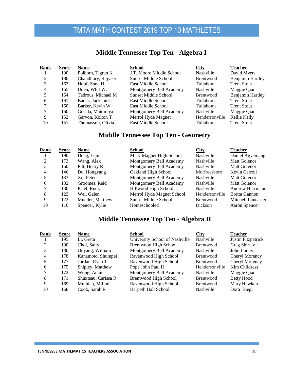### **Middle Tennessee Top Ten - Algebra I**

| Rank | <b>Score</b> | <b>Name</b>        | School                      | City             | <b>Teacher</b>          |
|------|--------------|--------------------|-----------------------------|------------------|-------------------------|
|      | 190          | Polborn, Tigran K  | J.T. Moore Middle School    | Nashville        | David Myers             |
| 2    | 180          | Chaudhury, Rajveer | <b>Sunset Middle School</b> | Brentwood        | <b>Benjamin Hartley</b> |
|      | 167          | Hopf, Zane H       | East Middle School          | Tullahoma        | <b>Trent Stout</b>      |
| 4    | 165          | Uden, Whit W.      | Montgomery Bell Academy     | Nashville        | Maggie Qian             |
|      | 164          | Tadrous, Michael M | Sunset Middle School        | Brentwood        | <b>Benjamin Hartley</b> |
| 6    | 161          | Banks, Jackson C   | East Middle School          | Tullahoma        | <b>Trent Stout</b>      |
|      | 160          | Barker, Kevin W    | East Middle School          | Tullahoma        | <b>Trent Stout</b>      |
|      | 160          | Gorida, Maithreya  | Montgomery Bell Academy     | <b>Nashville</b> | Maggie Qian             |
| 9    | 152          | Garvon, Kolton T   | Merrol Hyde Magnet          | Hendersonville   | Rellie Kelly            |
| 10   | 151          | Thomasson, Olivia  | East Middle School          | Tullahoma        | <b>Trent Stout</b>      |
|      |              |                    |                             |                  |                         |

#### **Middle Tennessee Top Ten - Geometry**

| Rank           | <b>Score</b> | <b>Name</b>      | <b>School</b>                 | <b>City</b>      | <b>Teacher</b>     |
|----------------|--------------|------------------|-------------------------------|------------------|--------------------|
|                | 190          | Deng, Lejun      | <b>MLK Magnet High School</b> | <b>Nashville</b> | Daniel Agyemang    |
| $\mathfrak{D}$ | 173          | Wang, Alex       | Montgomery Bell Academy       | <b>Nashville</b> | Matt Golenor       |
|                | 160          | Pitt, Henry R    | Montgomery Bell Academy       | <b>Nashville</b> | Matt Golenor       |
| 4              | 146          | Du, Hongyang     | Oakland High School           | Murfreesboro     | Kevin Carroll      |
|                | 133          | Xu. Peter        | Montgomery Bell Academy       | <b>Nashville</b> | Matt Golenor       |
| 6              | 132          | Groomes, Reid    | Montgomery Bell Academy       | <b>Nashville</b> | Matt Golenor       |
|                | 130          | Patel, Rudra     | Hillwood High School          | <b>Nashville</b> | Andrew Herrmann    |
| 8              | 123          | Wei. Galen       | Merrol Hyde Magnet School     | Hendersonville   | Bretta Gannon      |
| 9              | 122          | Mueller, Matthew | Sunset Middle School          | <b>Brentwood</b> | Mitchell Lancaster |
| 10             | 116          | Spencer, Kylie   | Homeschooled                  | <b>Dickson</b>   | Aaron Spencer      |

### **Middle Tennessee Top Ten - Algebra II**

| Rank                        | <b>Score</b> | <b>Name</b>         | <b>School</b>                  | <b>City</b>      | <b>Teacher</b>     |
|-----------------------------|--------------|---------------------|--------------------------------|------------------|--------------------|
|                             | 195          | Li, Greta           | University School of Nashville | <b>Nashville</b> | Justin Fitzpatrick |
| $\mathcal{D}_{\mathcal{L}}$ | 190          | Choi, Sally         | <b>Brentwood High School</b>   | Brentwood        | Greg Shirley       |
|                             | 180          | Ouyang, William     | Montgomery Bell Academy        | Nashville        | John Lunier        |
| 4                           | 178          | Kanamoto, Shumpei   | Ravenwood High School          | Brentwood        | Cheryl Morency     |
|                             | 177          | Jordan, Ryan T      | Ravenwood High School          | <b>Brentwood</b> | Cheryl Morency     |
| 6                           | 175          | Shipley, Matthew    | Pope John Paul II              | Hendersonville   | Kim Childress      |
|                             | 172          | Wong, Adam          | Montgomery Bell Academy        | <b>Nashville</b> | Maggie Qian        |
| 8                           | 171          | Shuxteau, Carissa R | <b>Brentwood High School</b>   | Brentwood        | Betty Hood         |
| 9                           | 169          | Muthiah, Milind     | Ravenwood High School          | <b>Brentwood</b> | Mary Hawken        |
| 10                          | 168          | Cook, Sarah R       | Harpeth Hall School            | Nashville        | Dora Biegl         |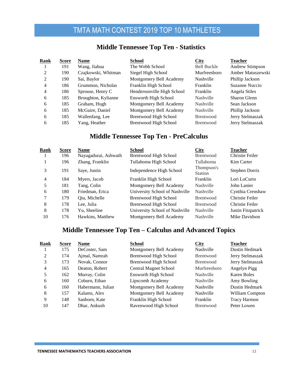### **Middle Tennessee Top Ten - Statistics**

| Rank | <b>Score</b> | Name                | <b>School</b>                | <b>City</b>        | <b>Teacher</b>    |
|------|--------------|---------------------|------------------------------|--------------------|-------------------|
|      | 191          | Wang, Jiahua        | The Webb School              | <b>Bell Buckle</b> | Andrew Stimpson   |
| 2    | 190          | Czajkowski, Whitman | Siegel High School           | Murfreesboro       | Amber Matuszewski |
| 2    | 190          | Sai, Baylor         | Montgomery Bell Academy      | <b>Nashville</b>   | Phillip Jackson   |
| 4    | 186          | Grummon, Nicholas   | Franklin High School         | Franklin           | Suzanne Nuccio    |
| 4    | 186          | Sprouse, Henry C    | Hendersonville High School   | Franklin           | Angela Stiles     |
| 6    | 185          | Broughton, Kylianne | <b>Ensworth High School</b>  | Nashville          | Sharon Glenn      |
| 6    | 185          | Graham, Hugh        | Montgomery Bell Academy      | <b>Nashville</b>   | Sean Jackson      |
| 6    | 185          | McGuire, Daniel     | Montgomery Bell Academy      | Nashville          | Phillip Jackson   |
| 6    | 185          | Wallenfang, Lee     | <b>Brentwood High School</b> | Brentwood          | Jerry Stelmaszak  |
| 6    | 185          | Yang, Heather       | <b>Brentwood High School</b> | <b>Brentwood</b>   | Jerry Stelmaszak  |

### **Middle Tennessee Top Ten - PreCalculus**

| Rank | <b>Score</b> | Name                 | <b>School</b>                  | City                         | <b>Teacher</b>     |
|------|--------------|----------------------|--------------------------------|------------------------------|--------------------|
|      | 196          | Nayagadurai, Ashwath | Brentwood High School          | <b>Brentwood</b>             | Christie Feiler    |
|      | 196          | Zhang, Franklin      | Tullahoma High School          | Tullahoma                    | Kim Carter         |
| 3    | 191          | Saye, Justin         | Independence High School       | Thompson's<br><b>Station</b> | Stephen Dorris     |
| 4    | 184          | Myers, Jacob         | Franklin High School           | Franklin                     | Lori LoCurto       |
| 5    | 181          | Tang, Colin          | Montgomery Bell Academy        | Nashville                    | John Lanier        |
| 6    | 180          | Friedman, Erica      | University School of Nashville | Nashville                    | Cynthia Crenshaw   |
| 7    | 179          | Qiu, Michelle        | Brentwood High School          | <b>Brentwood</b>             | Christie Feiler    |
| 8    | 178          | Lee, Julia           | <b>Brentwood High School</b>   | <b>Brentwood</b>             | Christie Feiler    |
| 8    | 178          | Yu, Sheeline         | University School of Nashville | Nashville                    | Justin Fitzpatrick |
| 10   | 176          | Hawkins, Matthew     | Montgomery Bell Academy        | <b>Nashville</b>             | Mike Davidson      |
|      |              |                      |                                |                              |                    |

### **Middle Tennessee Top Ten – Calculus and Advanced Topics**

| Rank | <b>Score</b> | <b>Name</b>       | School                       | <b>City</b>      | <b>Teacher</b>      |
|------|--------------|-------------------|------------------------------|------------------|---------------------|
|      | 175          | DeCoster, Sam     | Montgomery Bell Academy      | Nashville        | Dustin Hedmark      |
| 2    | 174          | Ajmal, Namrah     | <b>Brentwood High School</b> | Brentwood        | Jerry Stelmaszak    |
| 3    | 173          | Novak, Connor     | <b>Brentwood High School</b> | <b>Brentwood</b> | Jerry Stelmaszak    |
| 4    | 165          | Deaton, Robert    | <b>Central Magnet School</b> | Murfreesboro     | Angelyn Pigg        |
| 5    | 162          | Murray, Colin     | Ensworth High School         | Nashville        | Karen Boles         |
| 6    | 160          | Coburn, Ethan     | Lipscomb Academy             | Nashville        | Amy Bowling         |
| 6    | 160          | Habermann, Julian | Montgomery Bell Academy      | <b>Nashville</b> | Dustin Hedmark      |
| 8    | 157          | Kalams, Alex      | Montgomery Bell Academy      | Nashville        | William Compton     |
| 9    | 148          | Sanborn, Kate     | Franklin High School         | Franklin         | <b>Tracy Harmon</b> |
| 10   | 147          | Dhar, Ankush      | Ravenwood High School        | <b>Brentwood</b> | Peter Lowen         |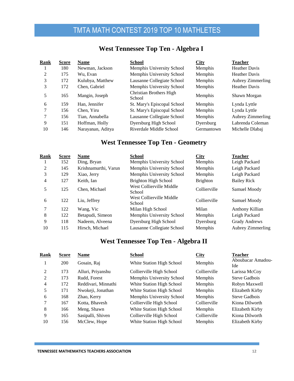### **West Tennessee Top Ten - Algebra I**

| Rank | <b>Score</b> | <b>Name</b>       | <b>School</b>                     | City           | <b>Teacher</b>           |
|------|--------------|-------------------|-----------------------------------|----------------|--------------------------|
|      | 180          | Newman, Jackson   | Memphis University School         | Memphis        | <b>Heather Davis</b>     |
| 2    | 175          | Wu. Evan          | Memphis University School         | <b>Memphis</b> | <b>Heather Davis</b>     |
| 3    | 172          | Kulubya, Matthew  | Lausanne Collegiate School        | <b>Memphis</b> | Aubrey Zimmerling        |
| 3    | 172          | Chen, Gabriel     | Memphis University School         | Memphis        | <b>Heather Davis</b>     |
| 5    | 165          | Mangin, Joseph    | Christian Brothers High<br>School | Memphis        | Shawn Morgan             |
| 6    | 159          | Han, Jennifer     | St. Mary's Episcopal School       | Memphis        | Lynda Lyttle             |
|      | 156          | Chen. Yiru        | St. Mary's Episcopal School       | <b>Memphis</b> | Lynda Lyttle             |
|      | 156          | Tian, Annabella   | Lausanne Collegiate School        | <b>Memphis</b> | <b>Aubrey Zimmerling</b> |
| 9    | 151          | Hoffman, Holly    | Dyersburg High School             | Dyersburg      | Labrenda Coleman         |
| 10   | 146          | Narayanan, Aditya | Riverdale Middle School           | Germantown     | Michelle Dlabai          |

### **West Tennessee Top Ten - Geometry**

| Rank | <b>Score</b> | <b>Name</b>          | <b>School</b>                      | City            | <b>Teacher</b>       |
|------|--------------|----------------------|------------------------------------|-----------------|----------------------|
|      | 152          | Ding, Bryan          | Memphis University School          | Memphis         | Leigh Packard        |
| 2    | 145          | Krishnamurthi, Varun | Memphis University School          | Memphis         | Leigh Packard        |
| 3    | 129          | Xiao, Jerry          | Memphis University School          | <b>Memphis</b>  | Leigh Packard        |
| 4    | 127          | Keith. Ian           | <b>Brighton High School</b>        | <b>Brighton</b> | <b>Bailey Rick</b>   |
| 5    | 125          | Chen. Michael        | West Collierville Middle<br>School | Collierville    | Samuel Moody         |
| 6    | 122          | Liu, Jeffrey         | West Collierville Middle<br>School | Collierville    | Samuel Moody         |
| 7    | 122          | Wang, Vic            | Milan High School                  | Milan           | Anthony Killian      |
| 8    | 122          | Betapudi, Simeon     | Memphis University School          | Memphis         | Leigh Packard        |
| 9    | 118          | Nadeem, Alveena      | Dyersburg High School              | Dyersburg       | <b>Grady Andrews</b> |
| 10   | 115          | Hirsch, Michael      | Lausanne Collegiate School         | Memphis         | Aubrey Zimmerling    |

### **West Tennessee Top Ten - Algebra II**

| Rank           | <b>Score</b> | Name                | <b>School</b>             | City           | <b>Teacher</b>           |
|----------------|--------------|---------------------|---------------------------|----------------|--------------------------|
|                | 200          | Gosain, Raj         | White Station High School | Memphis        | Aboubacar Amadou-<br>Ide |
| 2              | 173          | Alluri, Priyanshu   | Collierville High School  | Collierville   | Larissa McCoy            |
| $\mathfrak{D}$ | 173          | Rudd, Forest        | Memphis University School | Memphis        | Steve Gadbois            |
| 4              | 172          | Reddivari, Minnathi | White Station High School | Memphis        | Robyn Maxwell            |
| 5              | 171          | Nwokeji, Jonathan   | White Station High School | Memphis        | Elizabeth Kirby          |
| 6              | 168          | Zhao, Kerry         | Memphis University School | Memphis        | Steve Gadbois            |
| 7              | 167          | Kotta, Bhavesh      | Collierville High School  | Collierville   | Kiona Dilworth           |
| 8              | 166          | Meng, Shawn         | White Station High School | Memphis        | Elizabeth Kirby          |
| 9              | 165          | Sasipalli, Shiven   | Collierville High School  | Collierville   | Kiona Dilworth           |
| 10             | 156          | McClew, Hope        | White Station High School | <b>Memphis</b> | Elizabeth Kirby          |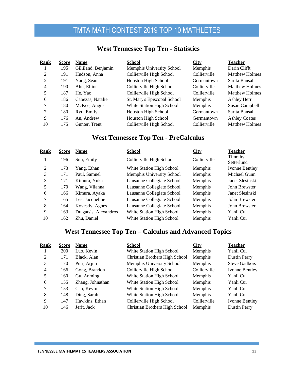| Rank | Score | <b>Name</b>         | School                      | City           | <b>Teacher</b>        |
|------|-------|---------------------|-----------------------------|----------------|-----------------------|
|      | 195   | Gilliland, Benjamin | Memphis University School   | Memphis        | Darin Clifft          |
| 2    | 191   | Hudson, Anna        | Collierville High School    | Collierville   | <b>Matthew Holmes</b> |
| 2    | 191   | Yang, Sean          | Houston High School         | Germantown     | Sarita Bansal         |
| 4    | 190   | Ahn, Elliot         | Collierville High School    | Collierville   | <b>Matthew Holmes</b> |
| 5    | 187   | He. Yao             | Collierville High School    | Collierville   | <b>Matthew Holmes</b> |
| 6    | 186   | Cabezas, Natalie    | St. Mary's Episcopal School | <b>Memphis</b> | Ashley Herr           |
| 7    | 180   | McKee, Angus        | White Station High School   | <b>Memphis</b> | Susan Campbell        |
| 7    | 180   | Ryu, Emily          | <b>Houston High School</b>  | Germantown     | Sarita Bansal         |
| 9    | 176   | An, Andrew          | <b>Houston High School</b>  | Germantown     | <b>Ashley Coates</b>  |
| 10   | 175   | Gunter, Trent       | Collierville High School    | Collierville   | <b>Matthew Holmes</b> |

### **West Tennessee Top Ten - Statistics**

### **West Tennessee Top Ten - PreCalculus**

| Rank | <b>Score</b> | <b>Name</b>           | <b>School</b>              | City           | <b>Teacher</b>        |
|------|--------------|-----------------------|----------------------------|----------------|-----------------------|
|      | 196          | Sun, Emily            | Collierville High School   | Collierville   | Timothy<br>Setterlund |
| 2    | 173          | Yang, Ethan           | White Station High School  | Memphis        | Ivonne Bentley        |
| 3    | 171          | Paul, Samuel          | Memphis University School  | Memphis        | Michael Gunn          |
| 3    | 171          | Kimura, Yuka          | Lausanne Collegiate School | Memphis        | Janet Slesinski       |
| 5    | 170          | Wang, Vilanna         | Lausanne Collegiate School | Memphis        | John Brewster         |
| 6    | 166          | Kimura, Ayaka         | Lausanne Collegiate School | <b>Memphis</b> | Janet Slesinski       |
| 7    | 165          | Lee, Jacqueline       | Lausanne Collegiate School | Memphis        | John Brewster         |
| 8    | 164          | Kovesdy, Agnes        | Lausanne Collegiate School | Memphis        | John Brewster         |
| 9    | 163          | Dragatsis, Alexandros | White Station High School  | Memphis        | Yanli Cui             |
| 10   | 162          | Zhu, Daniel           | White Station High School  | Memphis        | Yanli Cui             |
|      |              |                       |                            |                |                       |

### **West Tennessee Top Ten – Calculus and Advanced Topics**

| Rank | Score | <b>Name</b>      | <b>School</b>                  | <b>City</b>    | <b>Teacher</b>      |
|------|-------|------------------|--------------------------------|----------------|---------------------|
|      | 200   | Luo, Kevin       | White Station High School      | Memphis        | Yanli Cui           |
| 2    | 171   | Black, Alan      | Christian Brothers High School | Memphis        | <b>Dustin Perry</b> |
| 3    | 170   | Puri, Arjun      | Memphis University School      | <b>Memphis</b> | Steve Gadbois       |
| 4    | 166   | Gong, Brandon    | Collierville High School       | Collierville   | Ivonne Bentley      |
| 5    | 160   | Gu, Anming       | White Station High School      | <b>Memphis</b> | Yanli Cui           |
| 6    | 155   | Zhang, Johnathan | White Station High School      | Memphis        | Yanli Cui           |
| 7    | 153   | Cao, Kevin       | White Station High School      | Memphis        | Yanli Cui           |
| 8    | 148   | Ding, Sarah      | White Station High School      | <b>Memphis</b> | Yanli Cui           |
| 9    | 147   | Hawkins, Ethan   | Collierville High School       | Collierville   | Ivonne Bentley      |
| 10   | 146   | Jerit, Jack      | Christian Brothers High School | <b>Memphis</b> | <b>Dustin Perry</b> |
|      |       |                  |                                |                |                     |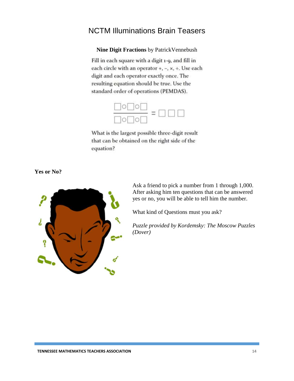### <span id="page-14-0"></span>NCTM Illuminations Brain Teasers

**Nine Digit Fractions** by PatrickVennebush

Fill in each square with a digit 1-9, and fill in each circle with an operator +, -, x, +. Use each digit and each operator exactly once. The resulting equation should be true. Use the standard order of operations (PEMDAS).



What is the largest possible three-digit result that can be obtained on the right side of the equation?

**Yes or No?**



Ask a friend to pick a number from 1 through 1,000. After asking him ten questions that can be answered yes or no, you will be able to tell him the number.

What kind of Questions must you ask?

*Puzzle provided by Kordemsky: The Moscow Puzzles (Dover)*